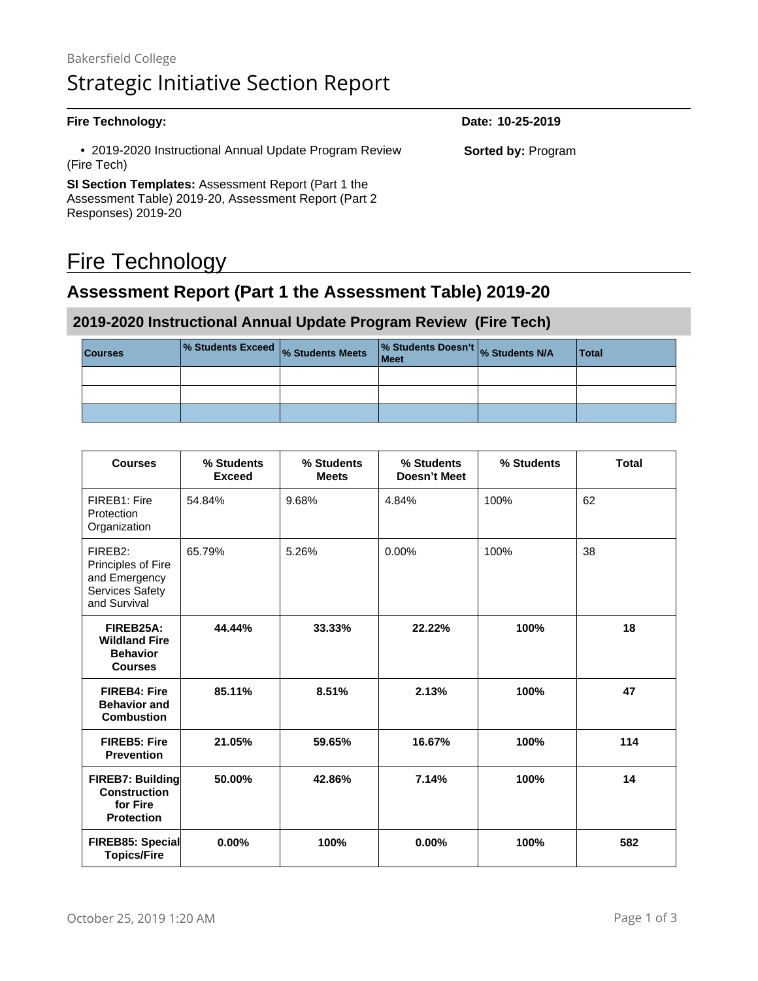#### **Fire Technology: Date: 10-25-2019** • 2019-2020 Instructional Annual Update Program Review (Fire Tech) **SI Section Templates:** Assessment Report (Part 1 the Assessment Table) 2019-20, Assessment Report (Part 2 **Sorted by:** Program

# Fire Technology

Responses) 2019-20

## **Assessment Report (Part 1 the Assessment Table) 2019-20**

#### **2019-2020 Instructional Annual Update Program Review (Fire Tech)**

| <b>Courses</b> | % Students Exceed % Students Meets | % Students Doesn't % Students N/A<br>Meet | <b>Total</b> |
|----------------|------------------------------------|-------------------------------------------|--------------|
|                |                                    |                                           |              |
|                |                                    |                                           |              |
|                |                                    |                                           |              |

| <b>Courses</b>                                                                                | % Students<br><b>Exceed</b> | % Students<br><b>Meets</b> | % Students<br>Doesn't Meet | % Students | <b>Total</b> |
|-----------------------------------------------------------------------------------------------|-----------------------------|----------------------------|----------------------------|------------|--------------|
| FIREB1: Fire<br>Protection<br>Organization                                                    | 54.84%                      | 9.68%                      | 4.84%                      | 100%       | 62           |
| FIREB <sub>2:</sub><br>Principles of Fire<br>and Emergency<br>Services Safety<br>and Survival | 65.79%                      | 5.26%                      | $0.00\%$                   | 100%       | 38           |
| FIREB25A:<br><b>Wildland Fire</b><br><b>Behavior</b><br><b>Courses</b>                        | 44.44%                      | 33.33%                     | 22.22%                     | 100%       | 18           |
| <b>FIREB4: Fire</b><br><b>Behavior and</b><br><b>Combustion</b>                               | 85.11%                      | 8.51%                      | 2.13%                      | 100%       | 47           |
| <b>FIREB5: Fire</b><br><b>Prevention</b>                                                      | 21.05%                      | 59.65%                     | 16.67%                     | 100%       | 114          |
| FIREB7: Building<br><b>Construction</b><br>for Fire<br><b>Protection</b>                      | 50.00%                      | 42.86%                     | 7.14%                      | 100%       | 14           |
| FIREB85: Special<br><b>Topics/Fire</b>                                                        | 0.00%                       | 100%                       | 0.00%                      | 100%       | 582          |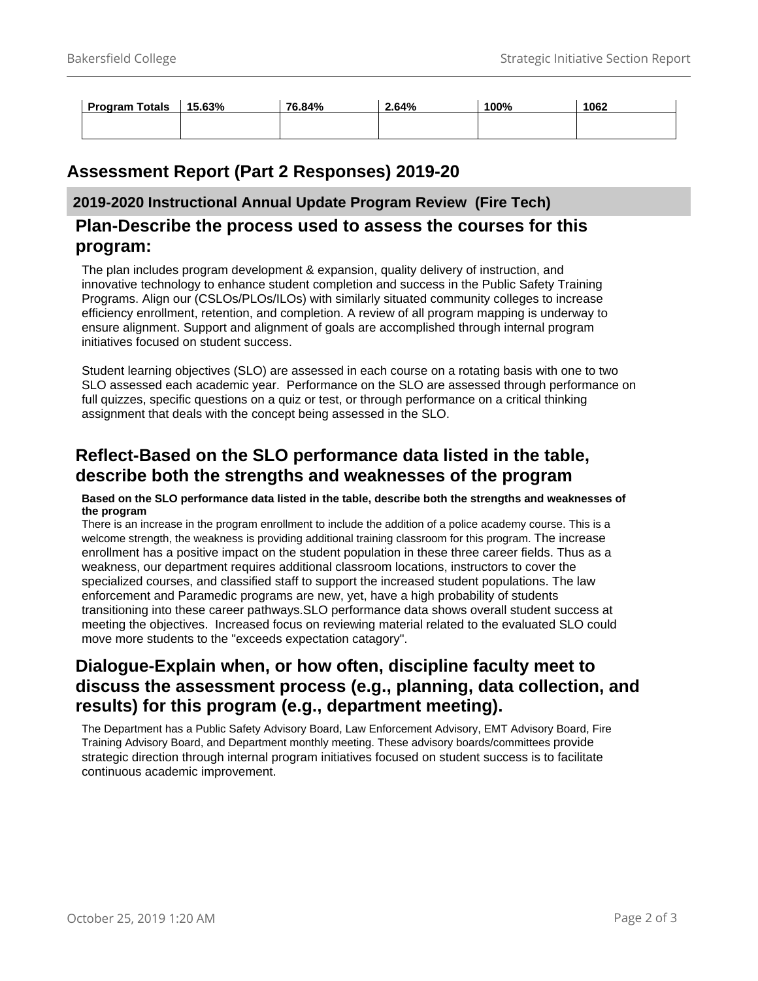| <b>Program Totals</b> | 15.63% | 76.84% | 2.64% | 100% | 1062 |
|-----------------------|--------|--------|-------|------|------|
|                       |        |        |       |      |      |

## **Assessment Report (Part 2 Responses) 2019-20**

#### **2019-2020 Instructional Annual Update Program Review (Fire Tech)**

#### **Plan-Describe the process used to assess the courses for this program:**

The plan includes program development & expansion, quality delivery of instruction, and innovative technology to enhance student completion and success in the Public Safety Training Programs. Align our (CSLOs/PLOs/ILOs) with similarly situated community colleges to increase efficiency enrollment, retention, and completion. A review of all program mapping is underway to ensure alignment. Support and alignment of goals are accomplished through internal program initiatives focused on student success.

Student learning objectives (SLO) are assessed in each course on a rotating basis with one to two SLO assessed each academic year. Performance on the SLO are assessed through performance on full quizzes, specific questions on a quiz or test, or through performance on a critical thinking assignment that deals with the concept being assessed in the SLO.

## **Reflect-Based on the SLO performance data listed in the table, describe both the strengths and weaknesses of the program**

#### **Based on the SLO performance data listed in the table, describe both the strengths and weaknesses of the program**

There is an increase in the program enrollment to include the addition of a police academy course. This is a welcome strength, the weakness is providing additional training classroom for this program. The increase enrollment has a positive impact on the student population in these three career fields. Thus as a weakness, our department requires additional classroom locations, instructors to cover the specialized courses, and classified staff to support the increased student populations. The law enforcement and Paramedic programs are new, yet, have a high probability of students transitioning into these career pathways.SLO performance data shows overall student success at meeting the objectives. Increased focus on reviewing material related to the evaluated SLO could move more students to the "exceeds expectation catagory".

## **Dialogue-Explain when, or how often, discipline faculty meet to discuss the assessment process (e.g., planning, data collection, and results) for this program (e.g., department meeting).**

The Department has a Public Safety Advisory Board, Law Enforcement Advisory, EMT Advisory Board, Fire Training Advisory Board, and Department monthly meeting. These advisory boards/committees provide strategic direction through internal program initiatives focused on student success is to facilitate continuous academic improvement.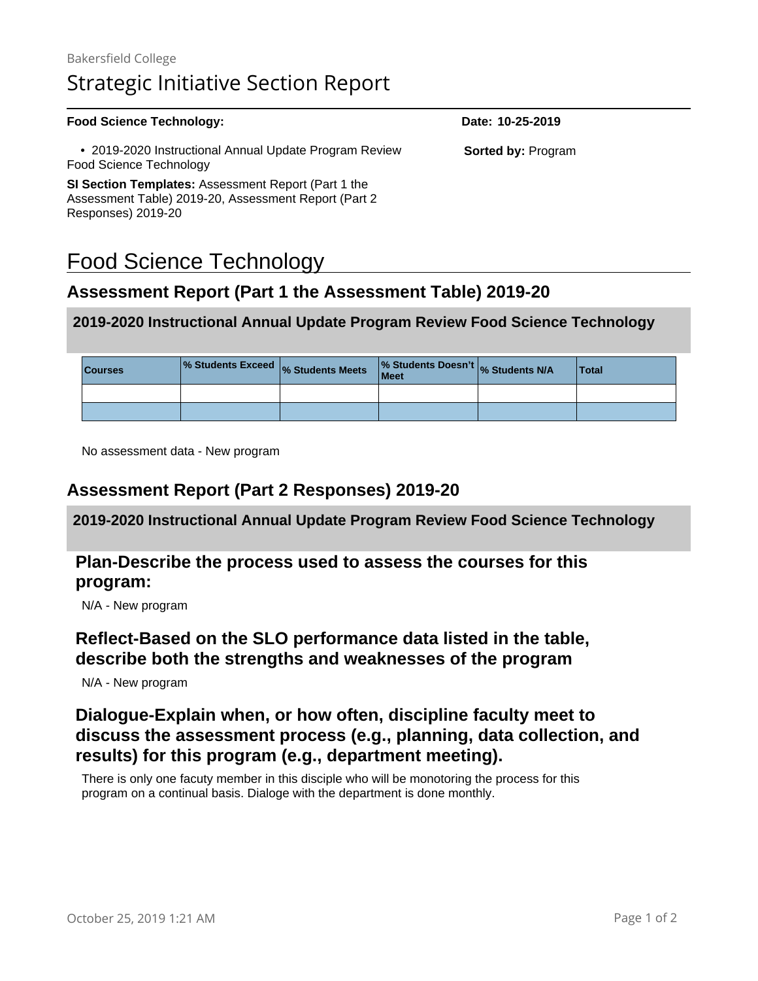| <b>Food Science Technology:</b>                                                                                    | Date: 10-25-2019          |
|--------------------------------------------------------------------------------------------------------------------|---------------------------|
| • 2019-2020 Instructional Annual Update Program Review<br>Food Science Technology                                  | <b>Sorted by: Program</b> |
| <b>SI Section Templates:</b> Assessment Report (Part 1 the<br>Assessment Table) 2019-20, Assessment Report (Part 2 |                           |
| Responses) 2019-20                                                                                                 |                           |

## Food Science Technology

## **Assessment Report (Part 1 the Assessment Table) 2019-20**

#### **2019-2020 Instructional Annual Update Program Review Food Science Technology**

| <b>Courses</b> | % Students Exceed % Students Meets | % Students Doesn't % Students N/A<br>Meet | <b>Total</b> |
|----------------|------------------------------------|-------------------------------------------|--------------|
|                |                                    |                                           |              |
|                |                                    |                                           |              |

No assessment data - New program

#### **Assessment Report (Part 2 Responses) 2019-20**

**2019-2020 Instructional Annual Update Program Review Food Science Technology**

### **Plan-Describe the process used to assess the courses for this program:**

N/A - New program

## **Reflect-Based on the SLO performance data listed in the table, describe both the strengths and weaknesses of the program**

N/A - New program

## **Dialogue-Explain when, or how often, discipline faculty meet to discuss the assessment process (e.g., planning, data collection, and results) for this program (e.g., department meeting).**

There is only one facuty member in this disciple who will be monotoring the process for this program on a continual basis. Dialoge with the department is done monthly.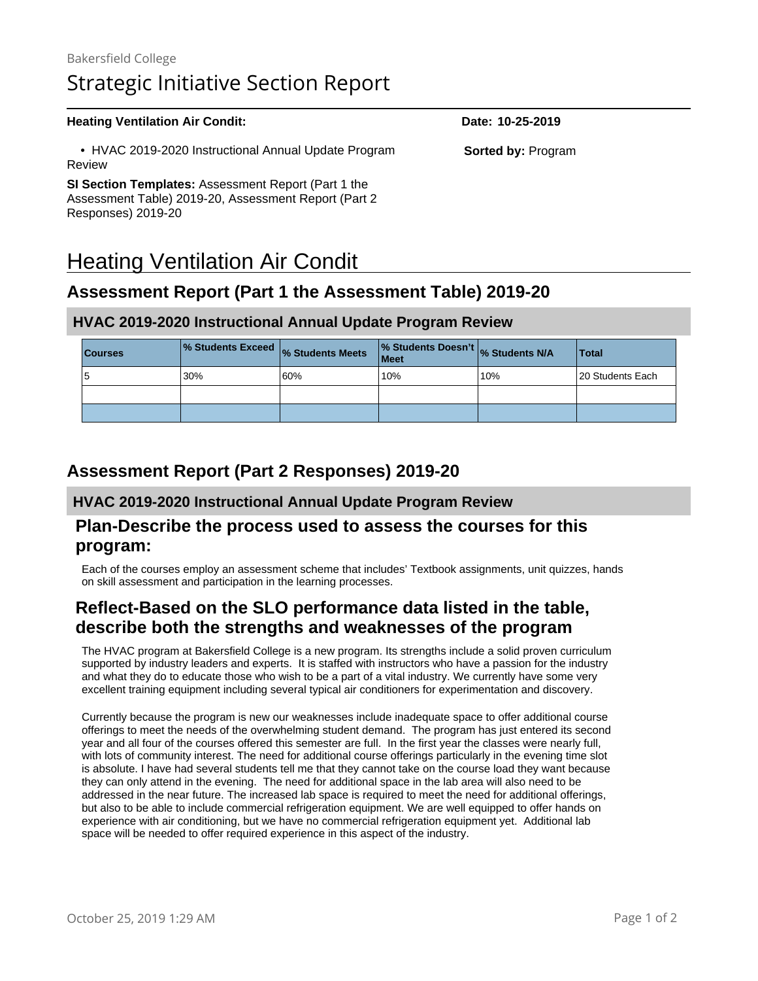#### **Heating Ventilation Air Condit: Date:** 10-25-2019 • HVAC 2019-2020 Instructional Annual Update Program Review **SI Section Templates:** Assessment Report (Part 1 the Assessment Table) 2019-20, Assessment Report (Part 2 Responses) 2019-20 **Sorted by:** Program

# Heating Ventilation Air Condit

## **Assessment Report (Part 1 the Assessment Table) 2019-20**

### **HVAC 2019-2020 Instructional Annual Update Program Review**

| <b>Courses</b> | % Students Exceed % Students Meets |     | % Students Doesn't % Students N/A<br><b>Meet</b> |     | <b>Total</b>      |
|----------------|------------------------------------|-----|--------------------------------------------------|-----|-------------------|
| ৩              | 30%                                | 60% | 10%                                              | 10% | 120 Students Each |
|                |                                    |     |                                                  |     |                   |
|                |                                    |     |                                                  |     |                   |

## **Assessment Report (Part 2 Responses) 2019-20**

#### **HVAC 2019-2020 Instructional Annual Update Program Review**

#### **Plan-Describe the process used to assess the courses for this program:**

Each of the courses employ an assessment scheme that includes' Textbook assignments, unit quizzes, hands on skill assessment and participation in the learning processes.

## **Reflect-Based on the SLO performance data listed in the table, describe both the strengths and weaknesses of the program**

The HVAC program at Bakersfield College is a new program. Its strengths include a solid proven curriculum supported by industry leaders and experts. It is staffed with instructors who have a passion for the industry and what they do to educate those who wish to be a part of a vital industry. We currently have some very excellent training equipment including several typical air conditioners for experimentation and discovery.

Currently because the program is new our weaknesses include inadequate space to offer additional course offerings to meet the needs of the overwhelming student demand. The program has just entered its second year and all four of the courses offered this semester are full. In the first year the classes were nearly full, with lots of community interest. The need for additional course offerings particularly in the evening time slot is absolute. I have had several students tell me that they cannot take on the course load they want because they can only attend in the evening. The need for additional space in the lab area will also need to be addressed in the near future. The increased lab space is required to meet the need for additional offerings, but also to be able to include commercial refrigeration equipment. We are well equipped to offer hands on experience with air conditioning, but we have no commercial refrigeration equipment yet. Additional lab space will be needed to offer required experience in this aspect of the industry.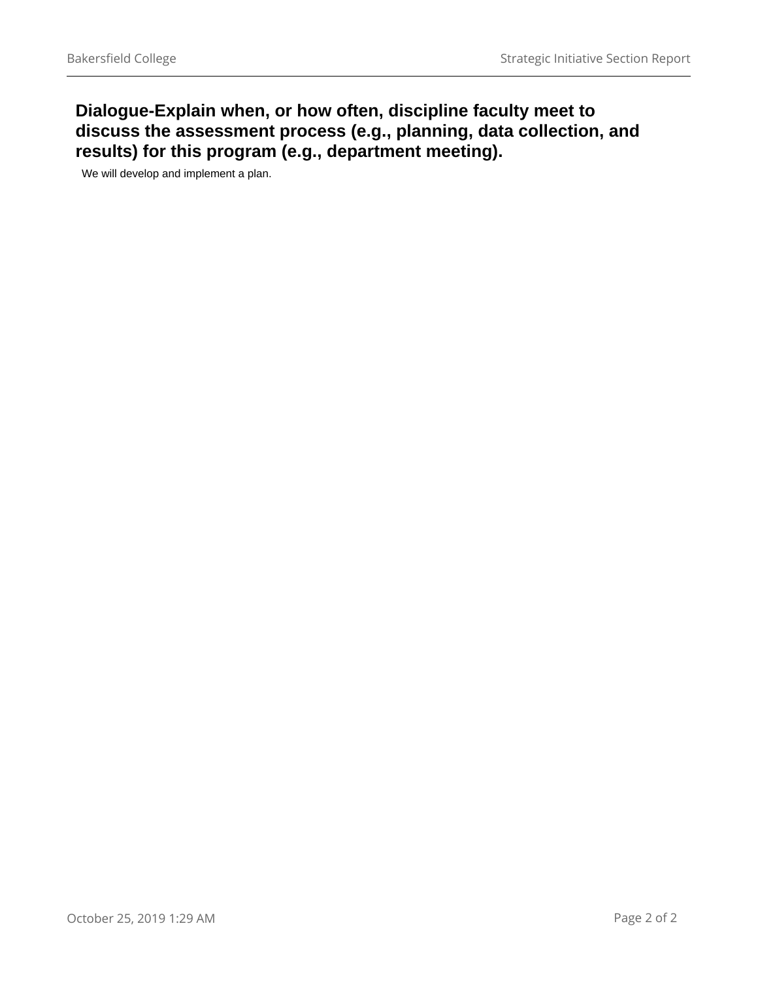## **Dialogue-Explain when, or how often, discipline faculty meet to discuss the assessment process (e.g., planning, data collection, and results) for this program (e.g., department meeting).**

We will develop and implement a plan.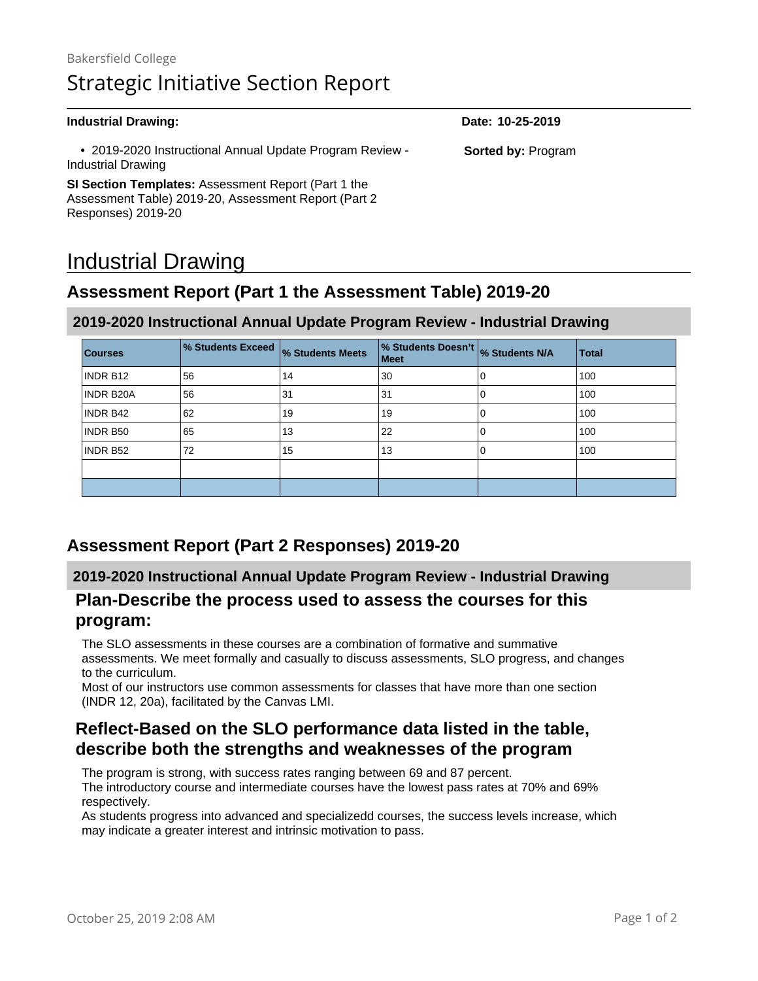| <b>Industrial Drawing:</b>                                                     | Date: 10-25-2019          |
|--------------------------------------------------------------------------------|---------------------------|
| • 2019-2020 Instructional Annual Update Program Review -<br>Industrial Drawing | <b>Sorted by: Program</b> |
| SI Section Templates: Assessment Report (Part 1 the                            |                           |
| Assessment Table) 2019-20, Assessment Report (Part 2                           |                           |
| Responses) 2019-20                                                             |                           |

# Industrial Drawing

## **Assessment Report (Part 1 the Assessment Table) 2019-20**

#### **2019-2020 Instructional Annual Update Program Review - Industrial Drawing**

| <b>Courses</b> | % Students Exceed | % Students Meets | % Students Doesn't<br>Meet | % Students N/A | <b>Total</b> |
|----------------|-------------------|------------------|----------------------------|----------------|--------------|
| INDR B12       | 56                | 14               | 30                         | 0              | 100          |
| INDR B20A      | 56                | 31               | 31                         | 0              | 100          |
| INDR B42       | 62                | 19               | 19                         | 0              | 100          |
| INDR B50       | 65                | 13               | 22                         | 0              | 100          |
| INDR B52       | 72                | 15               | 13                         | 0              | 100          |
|                |                   |                  |                            |                |              |
|                |                   |                  |                            |                |              |

## **Assessment Report (Part 2 Responses) 2019-20**

#### **2019-2020 Instructional Annual Update Program Review - Industrial Drawing**

#### **Plan-Describe the process used to assess the courses for this program:**

The SLO assessments in these courses are a combination of formative and summative assessments. We meet formally and casually to discuss assessments, SLO progress, and changes to the curriculum.

Most of our instructors use common assessments for classes that have more than one section (INDR 12, 20a), facilitated by the Canvas LMI.

## **Reflect-Based on the SLO performance data listed in the table, describe both the strengths and weaknesses of the program**

The program is strong, with success rates ranging between 69 and 87 percent. The introductory course and intermediate courses have the lowest pass rates at 70% and 69% respectively.

As students progress into advanced and specializedd courses, the success levels increase, which may indicate a greater interest and intrinsic motivation to pass.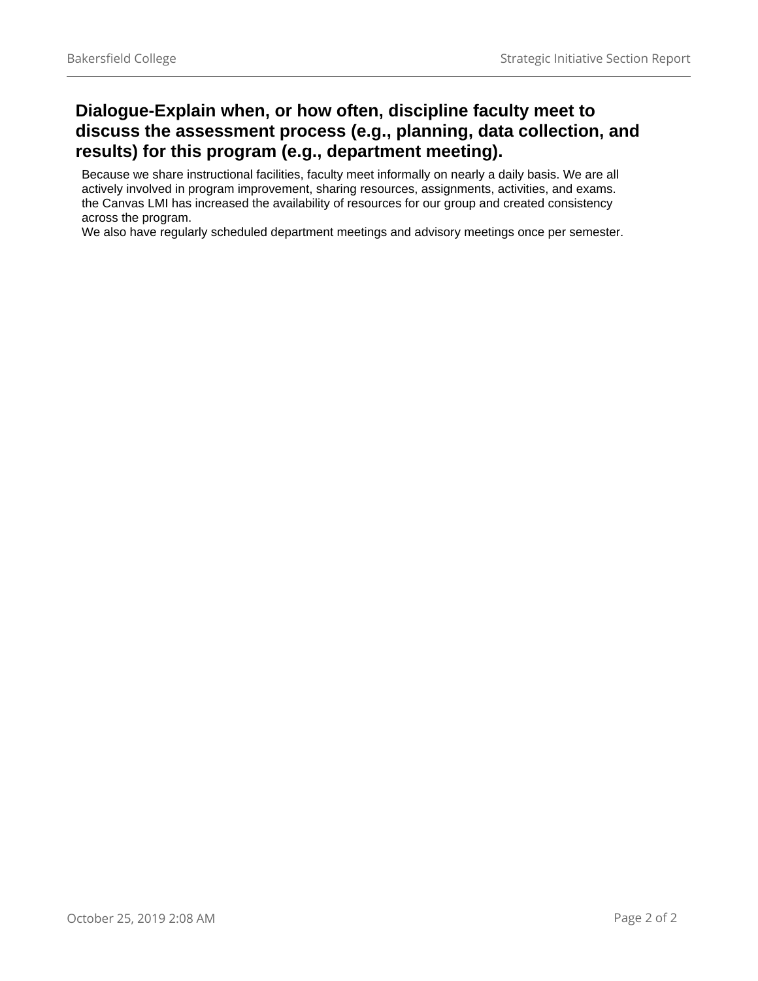## **Dialogue-Explain when, or how often, discipline faculty meet to discuss the assessment process (e.g., planning, data collection, and results) for this program (e.g., department meeting).**

Because we share instructional facilities, faculty meet informally on nearly a daily basis. We are all actively involved in program improvement, sharing resources, assignments, activities, and exams. the Canvas LMI has increased the availability of resources for our group and created consistency across the program.

We also have regularly scheduled department meetings and advisory meetings once per semester.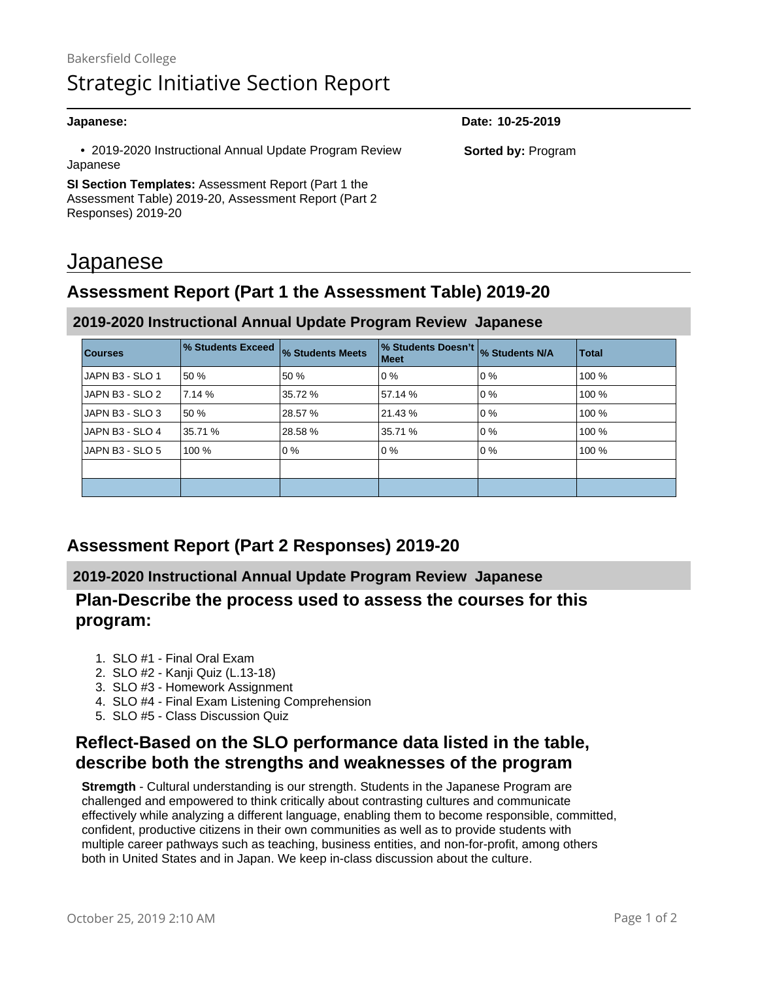| Japanese:                                                          | Date: 10-25-2019          |
|--------------------------------------------------------------------|---------------------------|
| • 2019-2020 Instructional Annual Update Program Review<br>Japanese | <b>Sorted by: Program</b> |
| <b>SI Section Templates:</b> Assessment Report (Part 1 the         |                           |
| Assessment Table) 2019-20, Assessment Report (Part 2)              |                           |
| Responses) 2019-20                                                 |                           |

## Japanese

## **Assessment Report (Part 1 the Assessment Table) 2019-20**

| <b>Courses</b>  | % Students Exceed | % Students Meets | % Students Doesn't % Students N/A<br>Meet |       | <b>Total</b> |
|-----------------|-------------------|------------------|-------------------------------------------|-------|--------------|
| JAPN B3 - SLO 1 | 50 %              | 50 %             | l 0 %                                     | l 0 % | 100 %        |
| JAPN B3 - SLO 2 | 7.14%             | 35.72 %          | 57.14 %                                   | 0%    | 100 %        |
| JAPN B3 - SLO 3 | 50 %              | 28.57 %          | 21.43 %                                   | l 0 % | 100 %        |
| JAPN B3 - SLO 4 | 35.71 %           | 28.58 %          | 35.71 %                                   | lo %  | 100 %        |
| JAPN B3 - SLO 5 | 100 %             | 0%               | l 0 %                                     | 0%    | 100 %        |
|                 |                   |                  |                                           |       |              |
|                 |                   |                  |                                           |       |              |

### **2019-2020 Instructional Annual Update Program Review Japanese**

## **Assessment Report (Part 2 Responses) 2019-20**

#### **2019-2020 Instructional Annual Update Program Review Japanese**

#### **Plan-Describe the process used to assess the courses for this program:**

- 1. SLO #1 Final Oral Exam
- 2. SLO #2 Kanji Quiz (L.13-18)
- 3. SLO #3 Homework Assignment
- 4. SLO #4 Final Exam Listening Comprehension
- 5. SLO #5 Class Discussion Quiz

## **Reflect-Based on the SLO performance data listed in the table, describe both the strengths and weaknesses of the program**

**Stremgth** - Cultural understanding is our strength. Students in the Japanese Program are challenged and empowered to think critically about contrasting cultures and communicate effectively while analyzing a different language, enabling them to become responsible, committed, confident, productive citizens in their own communities as well as to provide students with multiple career pathways such as teaching, business entities, and non-for-profit, among others both in United States and in Japan. We keep in-class discussion about the culture.